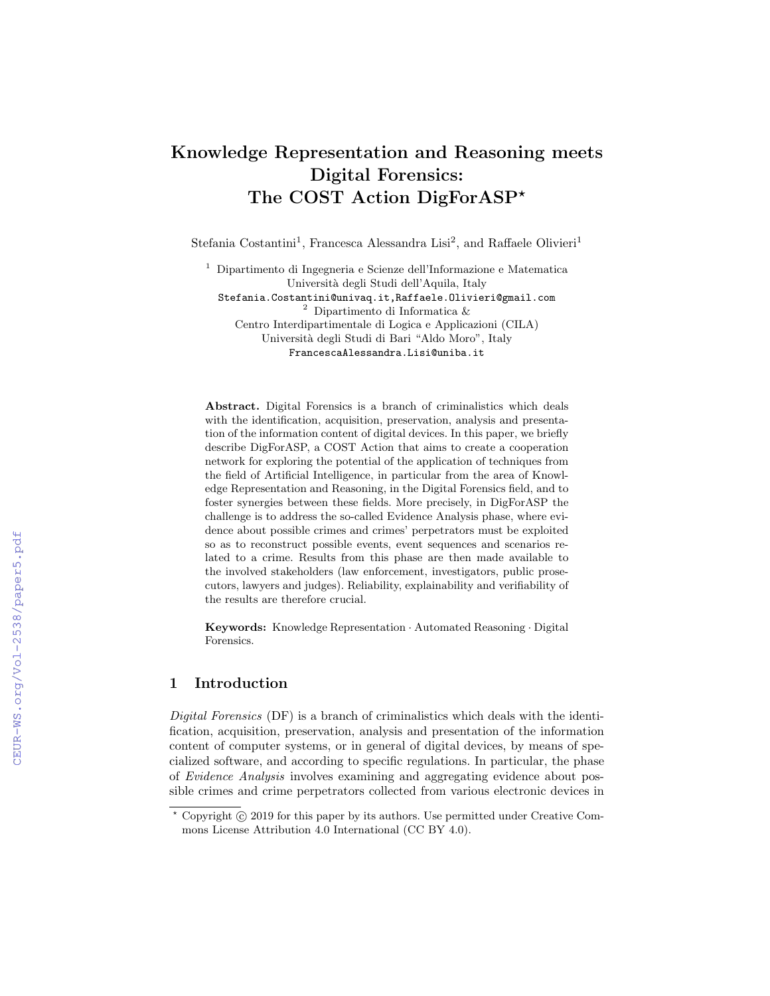# Knowledge Representation and Reasoning meets Digital Forensics: The COST Action DigForASP\*

Stefania Costantini<sup>1</sup>, Francesca Alessandra Lisi<sup>2</sup>, and Raffaele Olivieri<sup>1</sup>

<sup>1</sup> Dipartimento di Ingegneria e Scienze dell'Informazione e Matematica Università degli Studi dell'Aquila, Italy Stefania.Costantini@univaq.it,Raffaele.Olivieri@gmail.com  $^2\,$  Dipartimento di Informatica  $\&$ 

Centro Interdipartimentale di Logica e Applicazioni (CILA) Università degli Studi di Bari "Aldo Moro", Italy FrancescaAlessandra.Lisi@uniba.it

Abstract. Digital Forensics is a branch of criminalistics which deals with the identification, acquisition, preservation, analysis and presentation of the information content of digital devices. In this paper, we briefly describe DigForASP, a COST Action that aims to create a cooperation network for exploring the potential of the application of techniques from the field of Artificial Intelligence, in particular from the area of Knowledge Representation and Reasoning, in the Digital Forensics field, and to foster synergies between these fields. More precisely, in DigForASP the challenge is to address the so-called Evidence Analysis phase, where evidence about possible crimes and crimes' perpetrators must be exploited so as to reconstruct possible events, event sequences and scenarios related to a crime. Results from this phase are then made available to the involved stakeholders (law enforcement, investigators, public prosecutors, lawyers and judges). Reliability, explainability and verifiability of the results are therefore crucial.

Keywords: Knowledge Representation · Automated Reasoning · Digital Forensics.

# 1 Introduction

Digital Forensics (DF) is a branch of criminalistics which deals with the identification, acquisition, preservation, analysis and presentation of the information content of computer systems, or in general of digital devices, by means of specialized software, and according to specific regulations. In particular, the phase of Evidence Analysis involves examining and aggregating evidence about possible crimes and crime perpetrators collected from various electronic devices in

 $*$  Copyright  $\odot$  2019 for this paper by its authors. Use permitted under Creative Commons License Attribution 4.0 International (CC BY 4.0).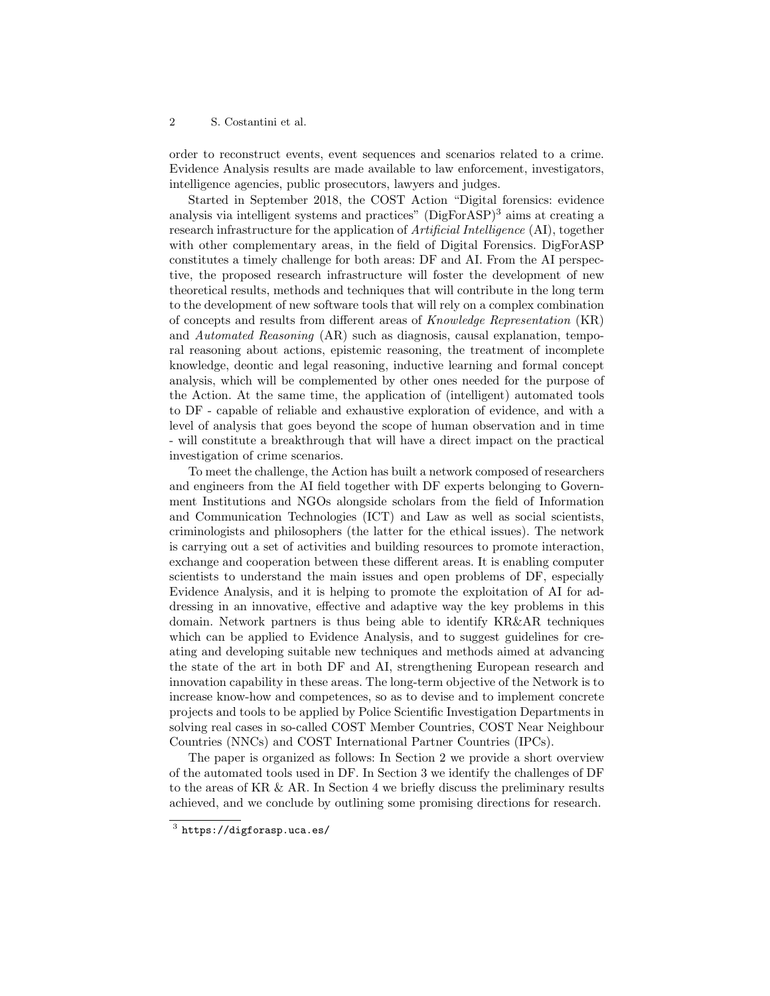#### 2 S. Costantini et al.

order to reconstruct events, event sequences and scenarios related to a crime. Evidence Analysis results are made available to law enforcement, investigators, intelligence agencies, public prosecutors, lawyers and judges.

Started in September 2018, the COST Action "Digital forensics: evidence analysis via intelligent systems and practices"  $(DigForASP)^3$  aims at creating a research infrastructure for the application of Artificial Intelligence (AI), together with other complementary areas, in the field of Digital Forensics. DigForASP constitutes a timely challenge for both areas: DF and AI. From the AI perspective, the proposed research infrastructure will foster the development of new theoretical results, methods and techniques that will contribute in the long term to the development of new software tools that will rely on a complex combination of concepts and results from different areas of Knowledge Representation (KR) and Automated Reasoning (AR) such as diagnosis, causal explanation, temporal reasoning about actions, epistemic reasoning, the treatment of incomplete knowledge, deontic and legal reasoning, inductive learning and formal concept analysis, which will be complemented by other ones needed for the purpose of the Action. At the same time, the application of (intelligent) automated tools to DF - capable of reliable and exhaustive exploration of evidence, and with a level of analysis that goes beyond the scope of human observation and in time - will constitute a breakthrough that will have a direct impact on the practical investigation of crime scenarios.

To meet the challenge, the Action has built a network composed of researchers and engineers from the AI field together with DF experts belonging to Government Institutions and NGOs alongside scholars from the field of Information and Communication Technologies (ICT) and Law as well as social scientists, criminologists and philosophers (the latter for the ethical issues). The network is carrying out a set of activities and building resources to promote interaction, exchange and cooperation between these different areas. It is enabling computer scientists to understand the main issues and open problems of DF, especially Evidence Analysis, and it is helping to promote the exploitation of AI for addressing in an innovative, effective and adaptive way the key problems in this domain. Network partners is thus being able to identify KR&AR techniques which can be applied to Evidence Analysis, and to suggest guidelines for creating and developing suitable new techniques and methods aimed at advancing the state of the art in both DF and AI, strengthening European research and innovation capability in these areas. The long-term objective of the Network is to increase know-how and competences, so as to devise and to implement concrete projects and tools to be applied by Police Scientific Investigation Departments in solving real cases in so-called COST Member Countries, COST Near Neighbour Countries (NNCs) and COST International Partner Countries (IPCs).

The paper is organized as follows: In Section 2 we provide a short overview of the automated tools used in DF. In Section 3 we identify the challenges of DF to the areas of KR & AR. In Section 4 we briefly discuss the preliminary results achieved, and we conclude by outlining some promising directions for research.

 $^3$  https://digforasp.uca.es/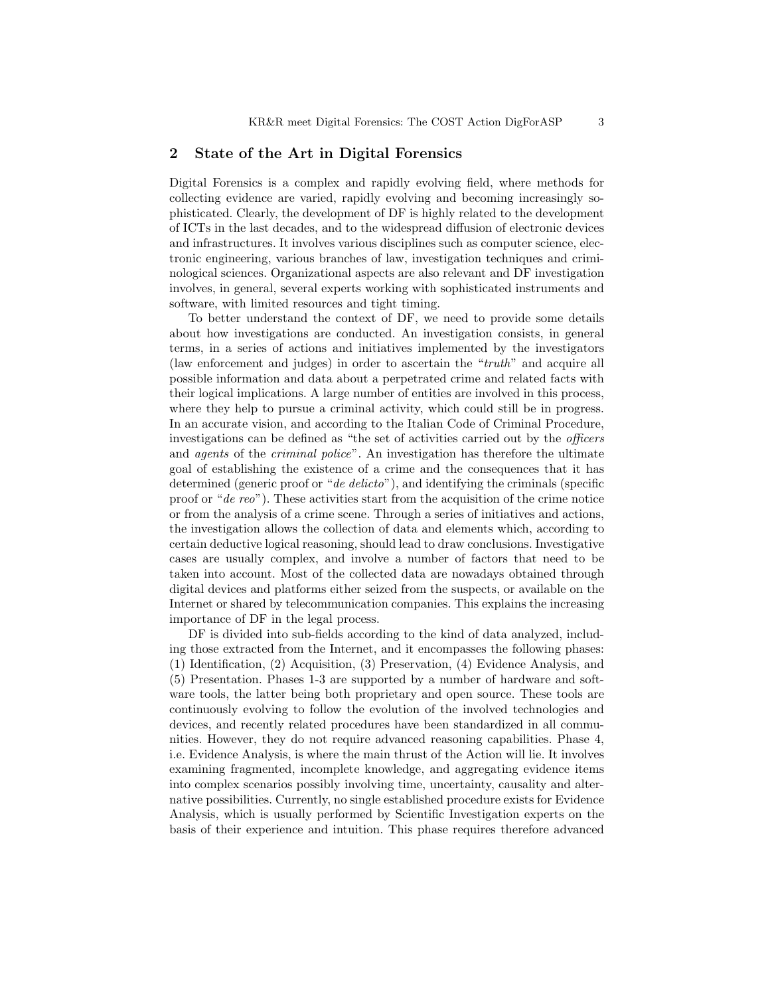## 2 State of the Art in Digital Forensics

Digital Forensics is a complex and rapidly evolving field, where methods for collecting evidence are varied, rapidly evolving and becoming increasingly sophisticated. Clearly, the development of DF is highly related to the development of ICTs in the last decades, and to the widespread diffusion of electronic devices and infrastructures. It involves various disciplines such as computer science, electronic engineering, various branches of law, investigation techniques and criminological sciences. Organizational aspects are also relevant and DF investigation involves, in general, several experts working with sophisticated instruments and software, with limited resources and tight timing.

To better understand the context of DF, we need to provide some details about how investigations are conducted. An investigation consists, in general terms, in a series of actions and initiatives implemented by the investigators (law enforcement and judges) in order to ascertain the "truth" and acquire all possible information and data about a perpetrated crime and related facts with their logical implications. A large number of entities are involved in this process, where they help to pursue a criminal activity, which could still be in progress. In an accurate vision, and according to the Italian Code of Criminal Procedure, investigations can be defined as "the set of activities carried out by the officers and *agents* of the *criminal police*". An investigation has therefore the ultimate goal of establishing the existence of a crime and the consequences that it has determined (generic proof or "*de delicto*"), and identifying the criminals (specific proof or "de reo"). These activities start from the acquisition of the crime notice or from the analysis of a crime scene. Through a series of initiatives and actions, the investigation allows the collection of data and elements which, according to certain deductive logical reasoning, should lead to draw conclusions. Investigative cases are usually complex, and involve a number of factors that need to be taken into account. Most of the collected data are nowadays obtained through digital devices and platforms either seized from the suspects, or available on the Internet or shared by telecommunication companies. This explains the increasing importance of DF in the legal process.

DF is divided into sub-fields according to the kind of data analyzed, including those extracted from the Internet, and it encompasses the following phases: (1) Identification, (2) Acquisition, (3) Preservation, (4) Evidence Analysis, and (5) Presentation. Phases 1-3 are supported by a number of hardware and software tools, the latter being both proprietary and open source. These tools are continuously evolving to follow the evolution of the involved technologies and devices, and recently related procedures have been standardized in all communities. However, they do not require advanced reasoning capabilities. Phase 4, i.e. Evidence Analysis, is where the main thrust of the Action will lie. It involves examining fragmented, incomplete knowledge, and aggregating evidence items into complex scenarios possibly involving time, uncertainty, causality and alternative possibilities. Currently, no single established procedure exists for Evidence Analysis, which is usually performed by Scientific Investigation experts on the basis of their experience and intuition. This phase requires therefore advanced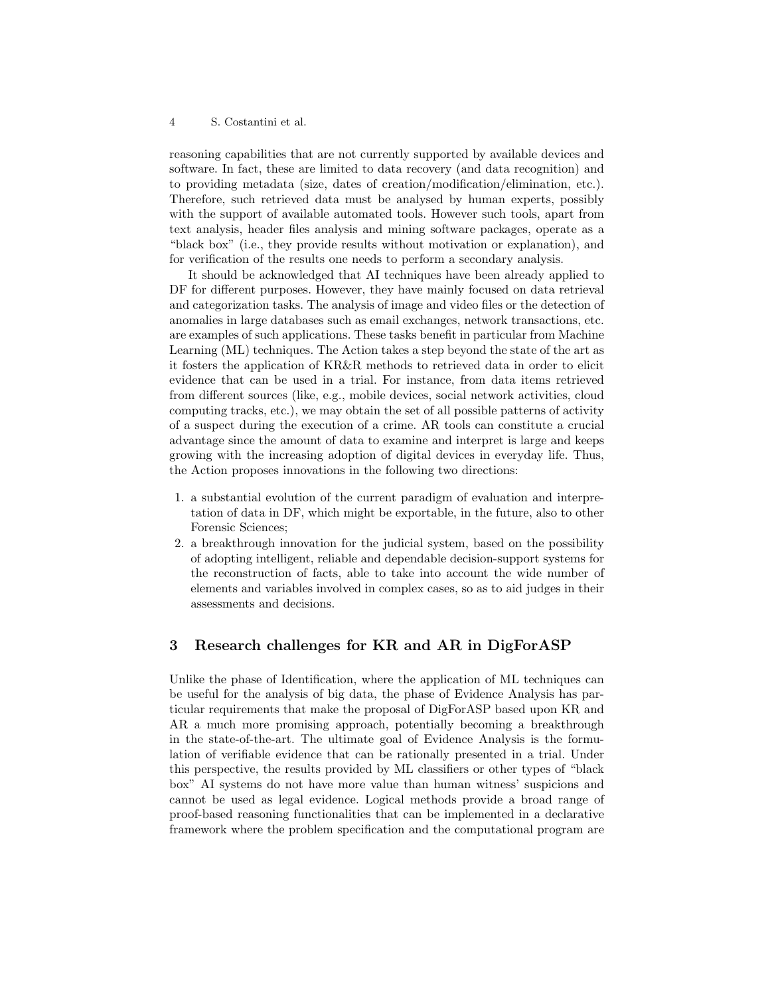#### 4 S. Costantini et al.

reasoning capabilities that are not currently supported by available devices and software. In fact, these are limited to data recovery (and data recognition) and to providing metadata (size, dates of creation/modification/elimination, etc.). Therefore, such retrieved data must be analysed by human experts, possibly with the support of available automated tools. However such tools, apart from text analysis, header files analysis and mining software packages, operate as a "black box" (i.e., they provide results without motivation or explanation), and for verification of the results one needs to perform a secondary analysis.

It should be acknowledged that AI techniques have been already applied to DF for different purposes. However, they have mainly focused on data retrieval and categorization tasks. The analysis of image and video files or the detection of anomalies in large databases such as email exchanges, network transactions, etc. are examples of such applications. These tasks benefit in particular from Machine Learning (ML) techniques. The Action takes a step beyond the state of the art as it fosters the application of KR&R methods to retrieved data in order to elicit evidence that can be used in a trial. For instance, from data items retrieved from different sources (like, e.g., mobile devices, social network activities, cloud computing tracks, etc.), we may obtain the set of all possible patterns of activity of a suspect during the execution of a crime. AR tools can constitute a crucial advantage since the amount of data to examine and interpret is large and keeps growing with the increasing adoption of digital devices in everyday life. Thus, the Action proposes innovations in the following two directions:

- 1. a substantial evolution of the current paradigm of evaluation and interpretation of data in DF, which might be exportable, in the future, also to other Forensic Sciences;
- 2. a breakthrough innovation for the judicial system, based on the possibility of adopting intelligent, reliable and dependable decision-support systems for the reconstruction of facts, able to take into account the wide number of elements and variables involved in complex cases, so as to aid judges in their assessments and decisions.

## 3 Research challenges for KR and AR in DigForASP

Unlike the phase of Identification, where the application of ML techniques can be useful for the analysis of big data, the phase of Evidence Analysis has particular requirements that make the proposal of DigForASP based upon KR and AR a much more promising approach, potentially becoming a breakthrough in the state-of-the-art. The ultimate goal of Evidence Analysis is the formulation of verifiable evidence that can be rationally presented in a trial. Under this perspective, the results provided by ML classifiers or other types of "black box" AI systems do not have more value than human witness' suspicions and cannot be used as legal evidence. Logical methods provide a broad range of proof-based reasoning functionalities that can be implemented in a declarative framework where the problem specification and the computational program are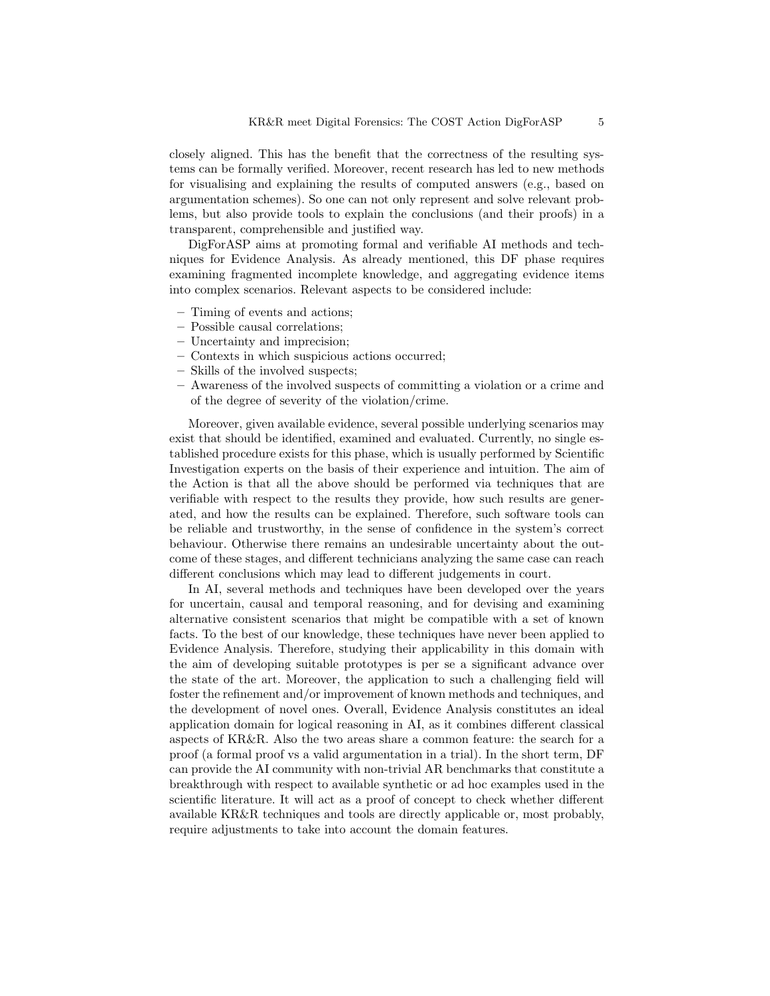closely aligned. This has the benefit that the correctness of the resulting systems can be formally verified. Moreover, recent research has led to new methods for visualising and explaining the results of computed answers (e.g., based on argumentation schemes). So one can not only represent and solve relevant problems, but also provide tools to explain the conclusions (and their proofs) in a transparent, comprehensible and justified way.

DigForASP aims at promoting formal and verifiable AI methods and techniques for Evidence Analysis. As already mentioned, this DF phase requires examining fragmented incomplete knowledge, and aggregating evidence items into complex scenarios. Relevant aspects to be considered include:

- Timing of events and actions;
- Possible causal correlations;
- Uncertainty and imprecision;
- Contexts in which suspicious actions occurred;
- Skills of the involved suspects;
- Awareness of the involved suspects of committing a violation or a crime and of the degree of severity of the violation/crime.

Moreover, given available evidence, several possible underlying scenarios may exist that should be identified, examined and evaluated. Currently, no single established procedure exists for this phase, which is usually performed by Scientific Investigation experts on the basis of their experience and intuition. The aim of the Action is that all the above should be performed via techniques that are verifiable with respect to the results they provide, how such results are generated, and how the results can be explained. Therefore, such software tools can be reliable and trustworthy, in the sense of confidence in the system's correct behaviour. Otherwise there remains an undesirable uncertainty about the outcome of these stages, and different technicians analyzing the same case can reach different conclusions which may lead to different judgements in court.

In AI, several methods and techniques have been developed over the years for uncertain, causal and temporal reasoning, and for devising and examining alternative consistent scenarios that might be compatible with a set of known facts. To the best of our knowledge, these techniques have never been applied to Evidence Analysis. Therefore, studying their applicability in this domain with the aim of developing suitable prototypes is per se a significant advance over the state of the art. Moreover, the application to such a challenging field will foster the refinement and/or improvement of known methods and techniques, and the development of novel ones. Overall, Evidence Analysis constitutes an ideal application domain for logical reasoning in AI, as it combines different classical aspects of KR&R. Also the two areas share a common feature: the search for a proof (a formal proof vs a valid argumentation in a trial). In the short term, DF can provide the AI community with non-trivial AR benchmarks that constitute a breakthrough with respect to available synthetic or ad hoc examples used in the scientific literature. It will act as a proof of concept to check whether different available KR&R techniques and tools are directly applicable or, most probably, require adjustments to take into account the domain features.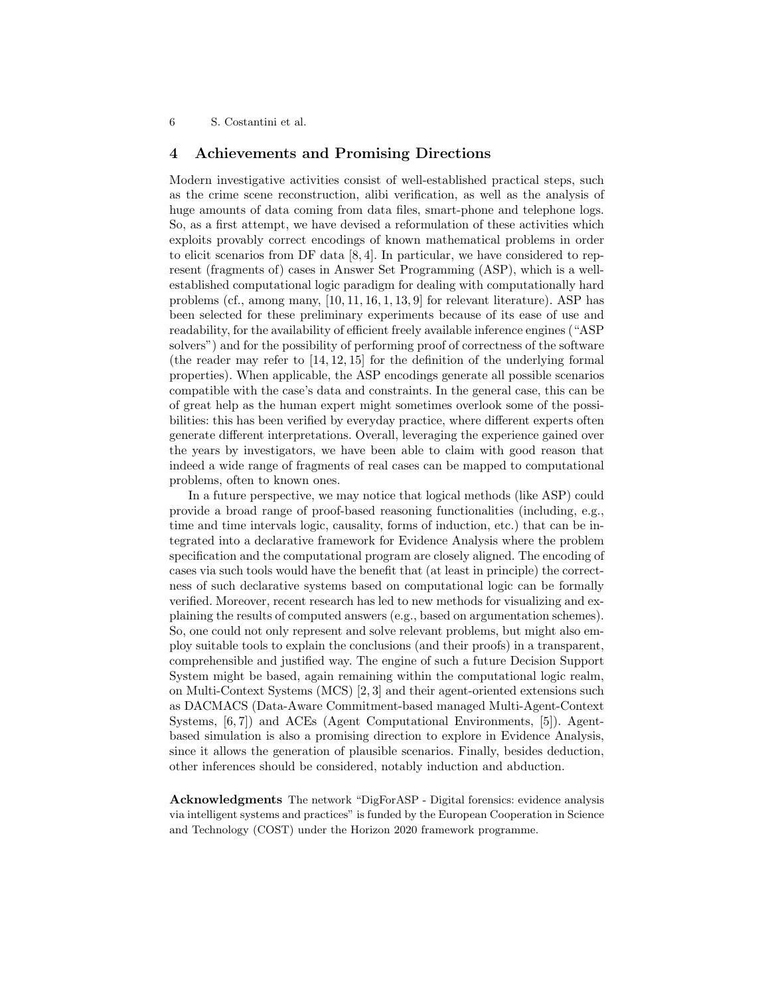6 S. Costantini et al.

## 4 Achievements and Promising Directions

Modern investigative activities consist of well-established practical steps, such as the crime scene reconstruction, alibi verification, as well as the analysis of huge amounts of data coming from data files, smart-phone and telephone logs. So, as a first attempt, we have devised a reformulation of these activities which exploits provably correct encodings of known mathematical problems in order to elicit scenarios from DF data [8, 4]. In particular, we have considered to represent (fragments of) cases in Answer Set Programming (ASP), which is a wellestablished computational logic paradigm for dealing with computationally hard problems (cf., among many, [10, 11, 16, 1, 13, 9] for relevant literature). ASP has been selected for these preliminary experiments because of its ease of use and readability, for the availability of efficient freely available inference engines ("ASP solvers") and for the possibility of performing proof of correctness of the software (the reader may refer to [14, 12, 15] for the definition of the underlying formal properties). When applicable, the ASP encodings generate all possible scenarios compatible with the case's data and constraints. In the general case, this can be of great help as the human expert might sometimes overlook some of the possibilities: this has been verified by everyday practice, where different experts often generate different interpretations. Overall, leveraging the experience gained over the years by investigators, we have been able to claim with good reason that indeed a wide range of fragments of real cases can be mapped to computational problems, often to known ones.

In a future perspective, we may notice that logical methods (like ASP) could provide a broad range of proof-based reasoning functionalities (including, e.g., time and time intervals logic, causality, forms of induction, etc.) that can be integrated into a declarative framework for Evidence Analysis where the problem specification and the computational program are closely aligned. The encoding of cases via such tools would have the benefit that (at least in principle) the correctness of such declarative systems based on computational logic can be formally verified. Moreover, recent research has led to new methods for visualizing and explaining the results of computed answers (e.g., based on argumentation schemes). So, one could not only represent and solve relevant problems, but might also employ suitable tools to explain the conclusions (and their proofs) in a transparent, comprehensible and justified way. The engine of such a future Decision Support System might be based, again remaining within the computational logic realm, on Multi-Context Systems (MCS) [2, 3] and their agent-oriented extensions such as DACMACS (Data-Aware Commitment-based managed Multi-Agent-Context Systems, [6, 7]) and ACEs (Agent Computational Environments, [5]). Agentbased simulation is also a promising direction to explore in Evidence Analysis, since it allows the generation of plausible scenarios. Finally, besides deduction, other inferences should be considered, notably induction and abduction.

Acknowledgments The network "DigForASP - Digital forensics: evidence analysis via intelligent systems and practices" is funded by the European Cooperation in Science and Technology (COST) under the Horizon 2020 framework programme.